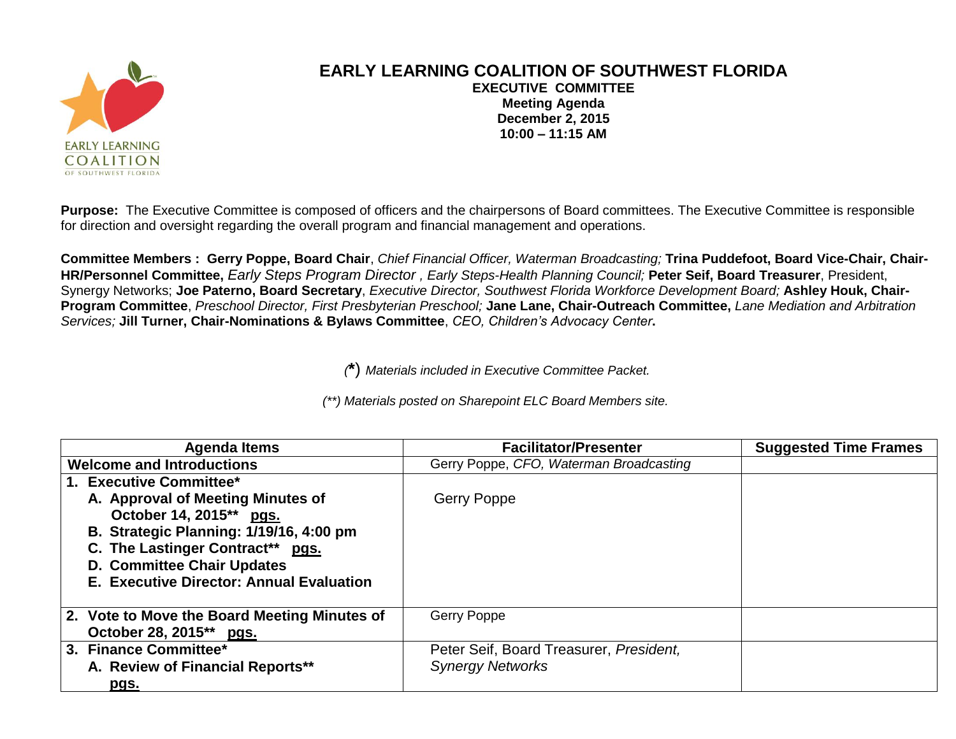

## **EARLY LEARNING COALITION OF SOUTHWEST FLORIDA EXECUTIVE COMMITTEE Meeting Agenda December 2, 2015 10:00 – 11:15 AM**

**Purpose:** The Executive Committee is composed of officers and the chairpersons of Board committees. The Executive Committee is responsible for direction and oversight regarding the overall program and financial management and operations.

**Committee Members : Gerry Poppe, Board Chair**, *Chief Financial Officer, Waterman Broadcasting;* **Trina Puddefoot, Board Vice-Chair, Chair-HR/Personnel Committee,** *Early Steps Program Director , Early Steps-Health Planning Council;* **Peter Seif, Board Treasurer**, President, Synergy Networks; **Joe Paterno, Board Secretary**, *Executive Director, Southwest Florida Workforce Development Board;* **Ashley Houk, Chair-Program Committee**, *Preschool Director, First Presbyterian Preschool;* **Jane Lane, Chair-Outreach Committee,** *Lane Mediation and Arbitration Services;* **Jill Turner, Chair-Nominations & Bylaws Committee**, *CEO, Children's Advocacy Center***.**

*(***\***) *Materials included in Executive Committee Packet.*

*(\*\*) Materials posted on Sharepoint ELC Board Members site.*

| <b>Agenda Items</b>                            | <b>Facilitator/Presenter</b>            | <b>Suggested Time Frames</b> |
|------------------------------------------------|-----------------------------------------|------------------------------|
| <b>Welcome and Introductions</b>               | Gerry Poppe, CFO, Waterman Broadcasting |                              |
| 1. Executive Committee*                        |                                         |                              |
| A. Approval of Meeting Minutes of              | <b>Gerry Poppe</b>                      |                              |
| October 14, 2015** pgs.                        |                                         |                              |
| <b>B. Strategic Planning: 1/19/16, 4:00 pm</b> |                                         |                              |
| C. The Lastinger Contract** pgs.               |                                         |                              |
| <b>D. Committee Chair Updates</b>              |                                         |                              |
| E. Executive Director: Annual Evaluation       |                                         |                              |
|                                                |                                         |                              |
| 2. Vote to Move the Board Meeting Minutes of   | <b>Gerry Poppe</b>                      |                              |
| October 28, 2015** pgs.                        |                                         |                              |
| 3. Finance Committee*                          | Peter Seif, Board Treasurer, President, |                              |
| A. Review of Financial Reports**               | <b>Synergy Networks</b>                 |                              |
| <u>pgs.</u>                                    |                                         |                              |